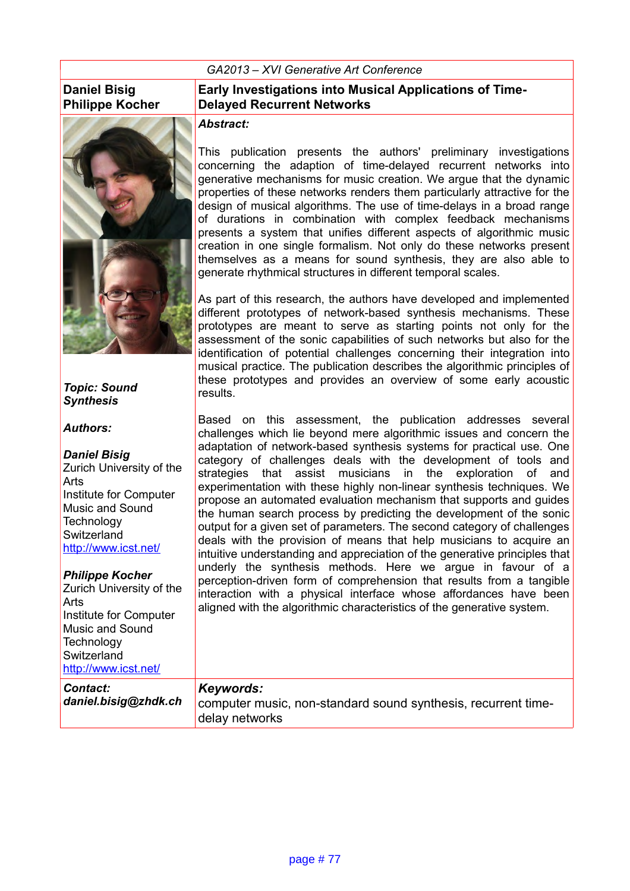#### *GA2013 – XVI Generative Art Conference*

### **Daniel Bisig Philippe Kocher**



### *Topic: Sound Synthesis*

#### *Authors:*

*Daniel Bisig* Zurich University of the Arts Institute for Computer Music and Sound **Technology Switzerland** <http://www.icst.net/>

#### *Philippe Kocher* Zurich University of the

*Contact:* 

Arts Institute for Computer Music and Sound **Technology Switzerland** <http://www.icst.net/>

### **Early Investigations into Musical Applications of Time-Delayed Recurrent Networks**

### *Abstract:*

This publication presents the authors' preliminary investigations concerning the adaption of time-delayed recurrent networks into generative mechanisms for music creation. We argue that the dynamic properties of these networks renders them particularly attractive for the design of musical algorithms. The use of time-delays in a broad range of durations in combination with complex feedback mechanisms presents a system that unifies different aspects of algorithmic music creation in one single formalism. Not only do these networks present themselves as a means for sound synthesis, they are also able to generate rhythmical structures in different temporal scales.

As part of this research, the authors have developed and implemented different prototypes of network-based synthesis mechanisms. These prototypes are meant to serve as starting points not only for the assessment of the sonic capabilities of such networks but also for the identification of potential challenges concerning their integration into musical practice. The publication describes the algorithmic principles of these prototypes and provides an overview of some early acoustic results.

Based on this assessment, the publication addresses several challenges which lie beyond mere algorithmic issues and concern the adaptation of network-based synthesis systems for practical use. One category of challenges deals with the development of tools and strategies that assist musicians in the exploration of and experimentation with these highly non-linear synthesis techniques. We propose an automated evaluation mechanism that supports and guides the human search process by predicting the development of the sonic output for a given set of parameters. The second category of challenges deals with the provision of means that help musicians to acquire an intuitive understanding and appreciation of the generative principles that underly the synthesis methods. Here we argue in favour of a perception-driven form of comprehension that results from a tangible interaction with a physical interface whose affordances have been aligned with the algorithmic characteristics of the generative system.

#### *Keywords:*

*daniel.bisig@zhdk.ch* computer music, non-standard sound synthesis, recurrent timedelay networks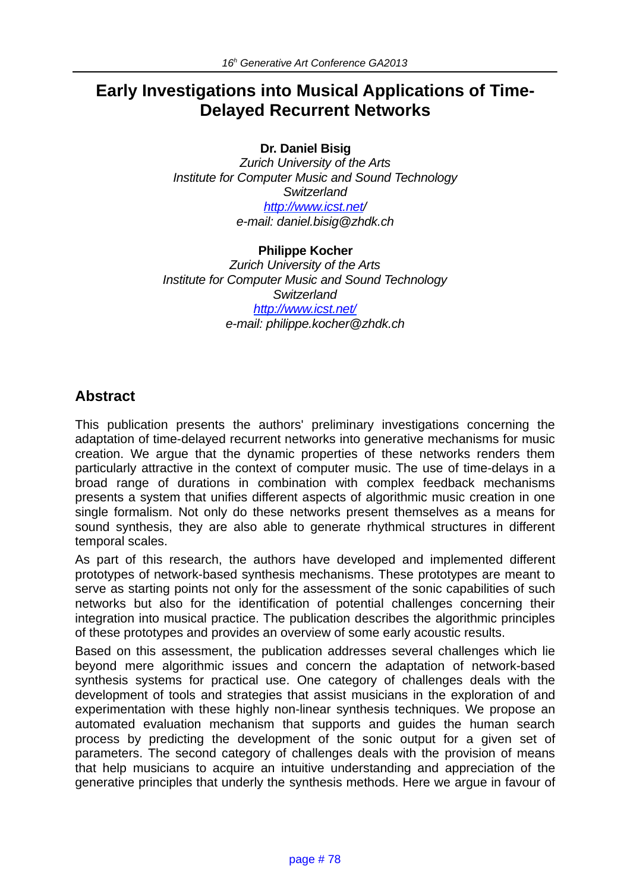# **Early Investigations into Musical Applications of Time-Delayed Recurrent Networks**

**Dr. Daniel Bisig**

*Zurich University of the Arts Institute for Computer Music and Sound Technology Switzerland http://www.icst.net/ e-mail: daniel.bisig@zhdk.ch*

#### **Philippe Kocher**

*Zurich University of the Arts Institute for Computer Music and Sound Technology Switzerland http://www.icst.net/ e-mail: philippe.kocher@zhdk.ch*

## **Abstract**

This publication presents the authors' preliminary investigations concerning the adaptation of time-delayed recurrent networks into generative mechanisms for music creation. We argue that the dynamic properties of these networks renders them particularly attractive in the context of computer music. The use of time-delays in a broad range of durations in combination with complex feedback mechanisms presents a system that unifies different aspects of algorithmic music creation in one single formalism. Not only do these networks present themselves as a means for sound synthesis, they are also able to generate rhythmical structures in different temporal scales.

As part of this research, the authors have developed and implemented different prototypes of network-based synthesis mechanisms. These prototypes are meant to serve as starting points not only for the assessment of the sonic capabilities of such networks but also for the identification of potential challenges concerning their integration into musical practice. The publication describes the algorithmic principles of these prototypes and provides an overview of some early acoustic results.

Based on this assessment, the publication addresses several challenges which lie beyond mere algorithmic issues and concern the adaptation of network-based synthesis systems for practical use. One category of challenges deals with the development of tools and strategies that assist musicians in the exploration of and experimentation with these highly non-linear synthesis techniques. We propose an automated evaluation mechanism that supports and guides the human search process by predicting the development of the sonic output for a given set of parameters. The second category of challenges deals with the provision of means that help musicians to acquire an intuitive understanding and appreciation of the generative principles that underly the synthesis methods. Here we argue in favour of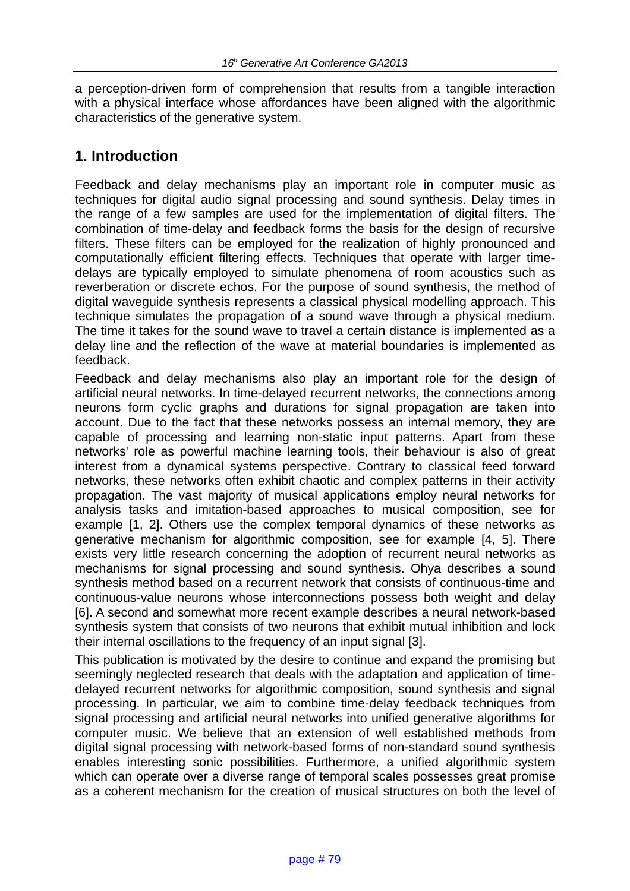a perception-driven form of comprehension that results from a tangible interaction with a physical interface whose affordances have been aligned with the algorithmic characteristics of the generative system.

# **1. Introduction**

Feedback and delay mechanisms play an important role in computer music as techniques for digital audio signal processing and sound synthesis. Delay times in the range of a few samples are used for the implementation of digital filters. The combination of time-delay and feedback forms the basis for the design of recursive filters. These filters can be employed for the realization of highly pronounced and computationally efficient filtering effects. Techniques that operate with larger timedelays are typically employed to simulate phenomena of room acoustics such as reverberation or discrete echos. For the purpose of sound synthesis, the method of digital waveguide synthesis represents a classical physical modelling approach. This technique simulates the propagation of a sound wave through a physical medium. The time it takes for the sound wave to travel a certain distance is implemented as a delay line and the reflection of the wave at material boundaries is implemented as feedback.

Feedback and delay mechanisms also play an important role for the design of artificial neural networks. In time-delayed recurrent networks, the connections among neurons form cyclic graphs and durations for signal propagation are taken into account. Due to the fact that these networks possess an internal memory, they are capable of processing and learning non-static input patterns. Apart from these networks' role as powerful machine learning tools, their behaviour is also of great interest from a dynamical systems perspective. Contrary to classical feed forward networks, these networks often exhibit chaotic and complex patterns in their activity propagation. The vast majority of musical applications employ neural networks for analysis tasks and imitation-based approaches to musical composition, see for example [1, 2]. Others use the complex temporal dynamics of these networks as generative mechanism for algorithmic composition, see for example [4, 5]. There exists very little research concerning the adoption of recurrent neural networks as mechanisms for signal processing and sound synthesis. Ohya describes a sound synthesis method based on a recurrent network that consists of continuous-time and continuous-value neurons whose interconnections possess both weight and delay [6]. A second and somewhat more recent example describes a neural network-based synthesis system that consists of two neurons that exhibit mutual inhibition and lock their internal oscillations to the frequency of an input signal [3].

This publication is motivated by the desire to continue and expand the promising but seemingly neglected research that deals with the adaptation and application of timedelayed recurrent networks for algorithmic composition, sound synthesis and signal processing. In particular, we aim to combine time-delay feedback techniques from signal processing and artificial neural networks into unified generative algorithms for computer music. We believe that an extension of well established methods from digital signal processing with network-based forms of non-standard sound synthesis enables interesting sonic possibilities. Furthermore, a unified algorithmic system which can operate over a diverse range of temporal scales possesses great promise as a coherent mechanism for the creation of musical structures on both the level of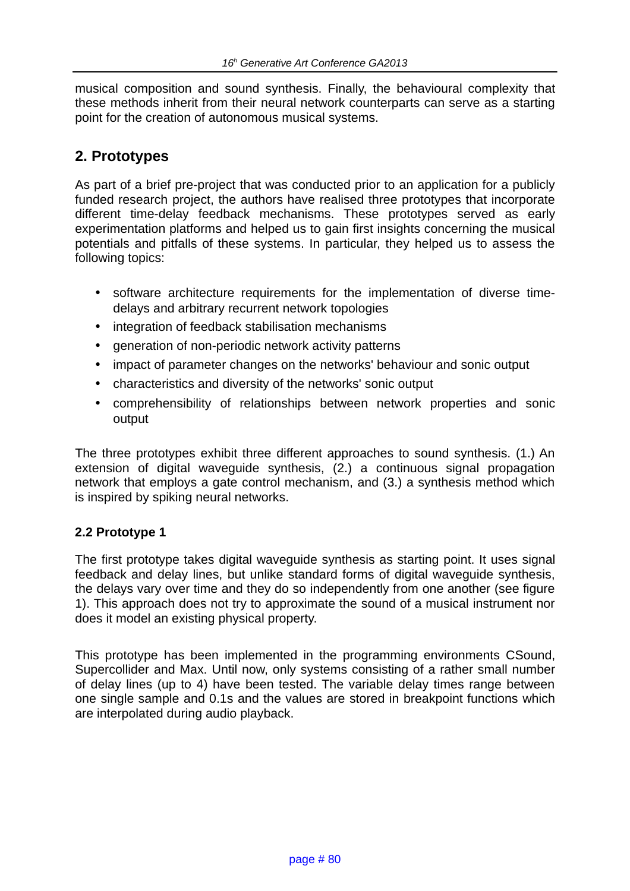musical composition and sound synthesis. Finally, the behavioural complexity that these methods inherit from their neural network counterparts can serve as a starting point for the creation of autonomous musical systems.

# **2. Prototypes**

As part of a brief pre-project that was conducted prior to an application for a publicly funded research project, the authors have realised three prototypes that incorporate different time-delay feedback mechanisms. These prototypes served as early experimentation platforms and helped us to gain first insights concerning the musical potentials and pitfalls of these systems. In particular, they helped us to assess the following topics:

- software architecture requirements for the implementation of diverse timedelays and arbitrary recurrent network topologies
- integration of feedback stabilisation mechanisms
- generation of non-periodic network activity patterns
- impact of parameter changes on the networks' behaviour and sonic output
- characteristics and diversity of the networks' sonic output
- comprehensibility of relationships between network properties and sonic output

The three prototypes exhibit three different approaches to sound synthesis. (1.) An extension of digital waveguide synthesis, (2.) a continuous signal propagation network that employs a gate control mechanism, and (3.) a synthesis method which is inspired by spiking neural networks.

### **2.2 Prototype 1**

The first prototype takes digital waveguide synthesis as starting point. It uses signal feedback and delay lines, but unlike standard forms of digital waveguide synthesis, the delays vary over time and they do so independently from one another (see figure 1). This approach does not try to approximate the sound of a musical instrument nor does it model an existing physical property.

This prototype has been implemented in the programming environments CSound, Supercollider and Max. Until now, only systems consisting of a rather small number of delay lines (up to 4) have been tested. The variable delay times range between one single sample and 0.1s and the values are stored in breakpoint functions which are interpolated during audio playback.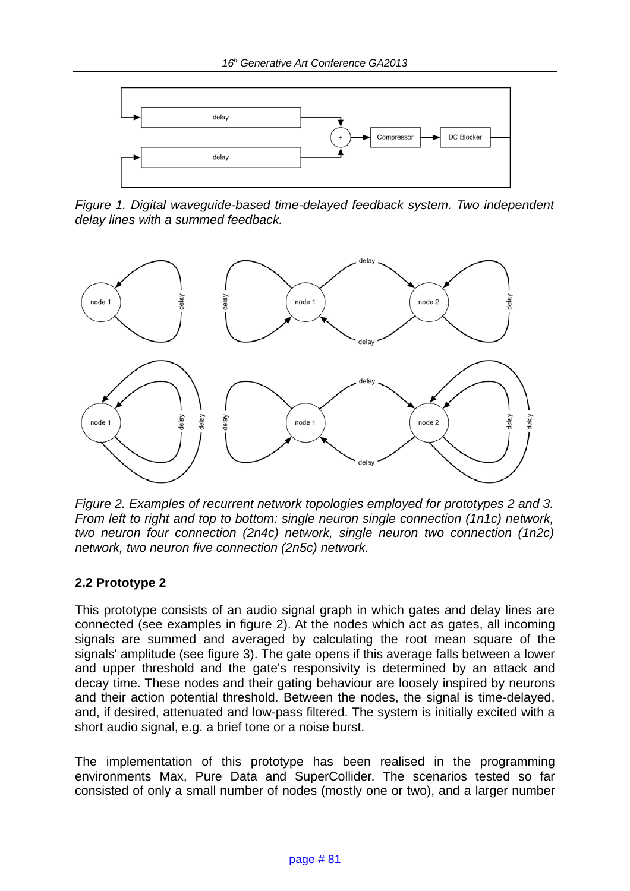

*Figure 1. Digital waveguide-based time-delayed feedback system. Two independent delay lines with a summed feedback.*



*Figure 2. Examples of recurrent network topologies employed for prototypes 2 and 3. From left to right and top to bottom: single neuron single connection (1n1c) network, two neuron four connection (2n4c) network, single neuron two connection (1n2c) network, two neuron five connection (2n5c) network.* 

### **2.2 Prototype 2**

This prototype consists of an audio signal graph in which gates and delay lines are connected (see examples in figure 2). At the nodes which act as gates, all incoming signals are summed and averaged by calculating the root mean square of the signals' amplitude (see figure 3). The gate opens if this average falls between a lower and upper threshold and the gate's responsivity is determined by an attack and decay time. These nodes and their gating behaviour are loosely inspired by neurons and their action potential threshold. Between the nodes, the signal is time-delayed, and, if desired, attenuated and low-pass filtered. The system is initially excited with a short audio signal, e.g. a brief tone or a noise burst.

The implementation of this prototype has been realised in the programming environments Max, Pure Data and SuperCollider. The scenarios tested so far consisted of only a small number of nodes (mostly one or two), and a larger number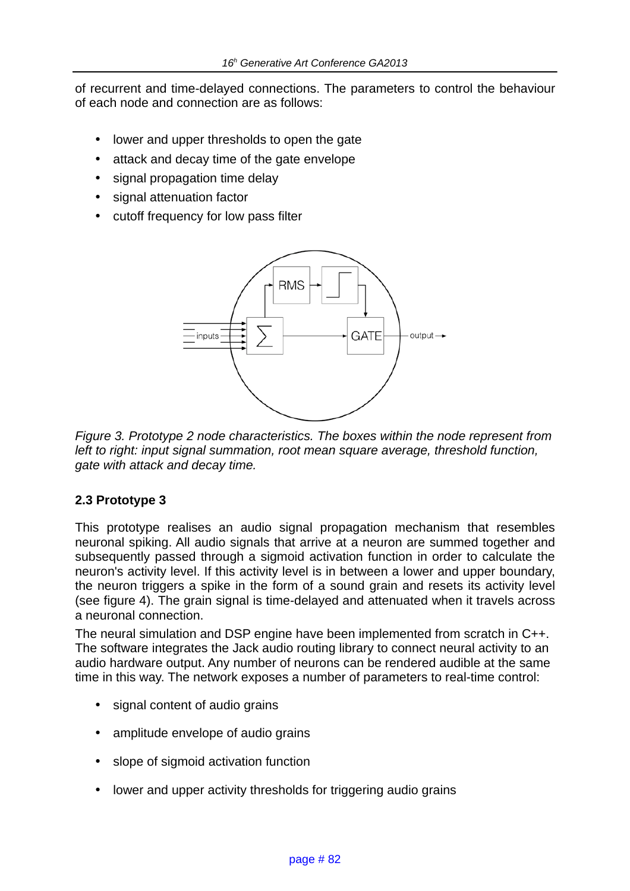of recurrent and time-delayed connections. The parameters to control the behaviour of each node and connection are as follows:

- lower and upper thresholds to open the gate
- attack and decay time of the gate envelope
- signal propagation time delay
- signal attenuation factor
- cutoff frequency for low pass filter



*Figure 3. Prototype 2 node characteristics. The boxes within the node represent from*  left to right: input signal summation, root mean square average, threshold function, *gate with attack and decay time.*

### **2.3 Prototype 3**

This prototype realises an audio signal propagation mechanism that resembles neuronal spiking. All audio signals that arrive at a neuron are summed together and subsequently passed through a sigmoid activation function in order to calculate the neuron's activity level. If this activity level is in between a lower and upper boundary, the neuron triggers a spike in the form of a sound grain and resets its activity level (see figure 4). The grain signal is time-delayed and attenuated when it travels across a neuronal connection.

The neural simulation and DSP engine have been implemented from scratch in C++. The software integrates the Jack audio routing library to connect neural activity to an audio hardware output. Any number of neurons can be rendered audible at the same time in this way. The network exposes a number of parameters to real-time control:

- signal content of audio grains
- amplitude envelope of audio grains
- slope of sigmoid activation function
- lower and upper activity thresholds for triggering audio grains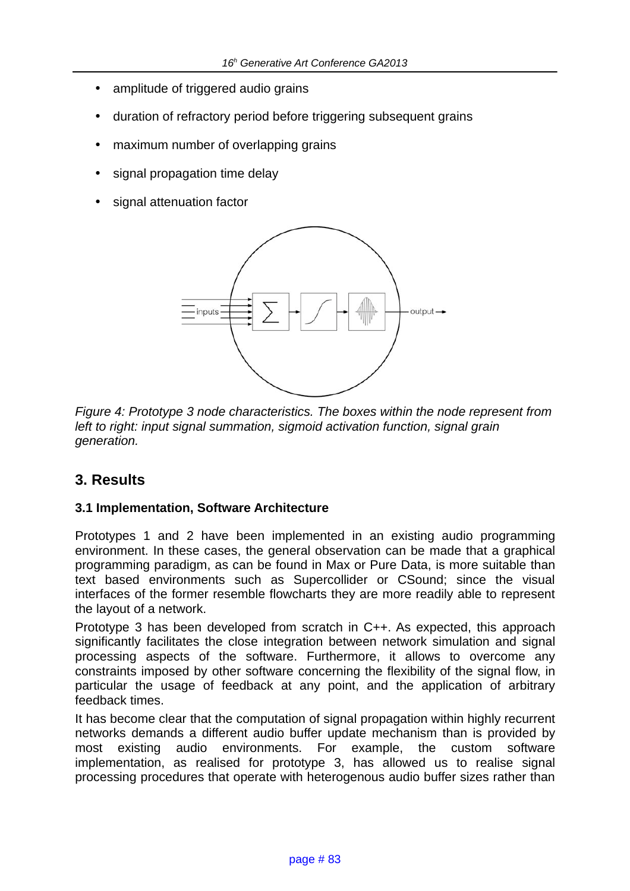- amplitude of triggered audio grains
- duration of refractory period before triggering subsequent grains
- maximum number of overlapping grains
- signal propagation time delay
- signal attenuation factor



*Figure 4: Prototype 3 node characteristics. The boxes within the node represent from left to right: input signal summation, sigmoid activation function, signal grain generation.*

### **3. Results**

### **3.1 Implementation, Software Architecture**

Prototypes 1 and 2 have been implemented in an existing audio programming environment. In these cases, the general observation can be made that a graphical programming paradigm, as can be found in Max or Pure Data, is more suitable than text based environments such as Supercollider or CSound; since the visual interfaces of the former resemble flowcharts they are more readily able to represent the layout of a network.

Prototype 3 has been developed from scratch in C++. As expected, this approach significantly facilitates the close integration between network simulation and signal processing aspects of the software. Furthermore, it allows to overcome any constraints imposed by other software concerning the flexibility of the signal flow, in particular the usage of feedback at any point, and the application of arbitrary feedback times.

It has become clear that the computation of signal propagation within highly recurrent networks demands a different audio buffer update mechanism than is provided by most existing audio environments. For example, the custom software implementation, as realised for prototype 3, has allowed us to realise signal processing procedures that operate with heterogenous audio buffer sizes rather than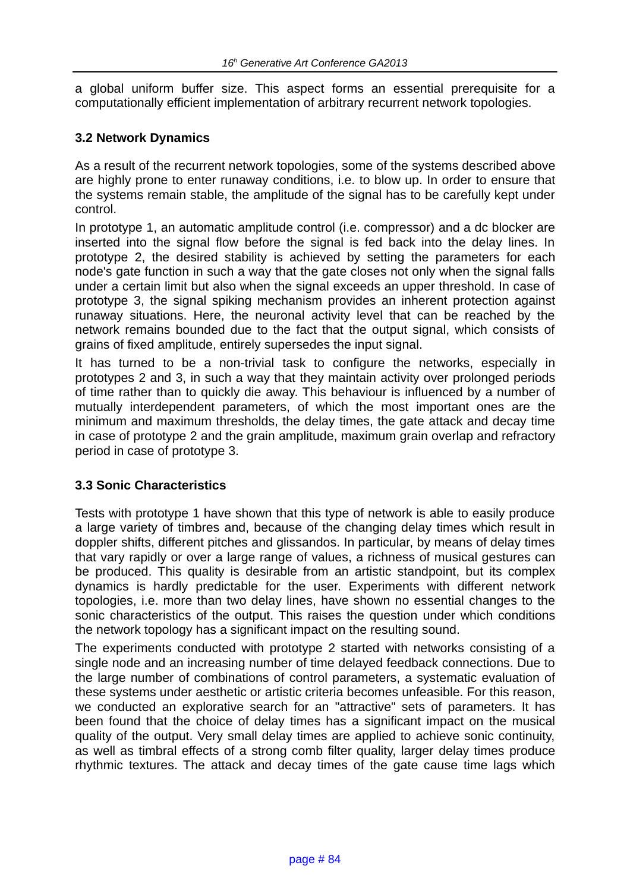a global uniform buffer size. This aspect forms an essential prerequisite for a computationally efficient implementation of arbitrary recurrent network topologies.

### **3.2 Network Dynamics**

As a result of the recurrent network topologies, some of the systems described above are highly prone to enter runaway conditions, i.e. to blow up. In order to ensure that the systems remain stable, the amplitude of the signal has to be carefully kept under control.

In prototype 1, an automatic amplitude control (i.e. compressor) and a dc blocker are inserted into the signal flow before the signal is fed back into the delay lines. In prototype 2, the desired stability is achieved by setting the parameters for each node's gate function in such a way that the gate closes not only when the signal falls under a certain limit but also when the signal exceeds an upper threshold. In case of prototype 3, the signal spiking mechanism provides an inherent protection against runaway situations. Here, the neuronal activity level that can be reached by the network remains bounded due to the fact that the output signal, which consists of grains of fixed amplitude, entirely supersedes the input signal.

It has turned to be a non-trivial task to configure the networks, especially in prototypes 2 and 3, in such a way that they maintain activity over prolonged periods of time rather than to quickly die away. This behaviour is influenced by a number of mutually interdependent parameters, of which the most important ones are the minimum and maximum thresholds, the delay times, the gate attack and decay time in case of prototype 2 and the grain amplitude, maximum grain overlap and refractory period in case of prototype 3.

### **3.3 Sonic Characteristics**

Tests with prototype 1 have shown that this type of network is able to easily produce a large variety of timbres and, because of the changing delay times which result in doppler shifts, different pitches and glissandos. In particular, by means of delay times that vary rapidly or over a large range of values, a richness of musical gestures can be produced. This quality is desirable from an artistic standpoint, but its complex dynamics is hardly predictable for the user. Experiments with different network topologies, i.e. more than two delay lines, have shown no essential changes to the sonic characteristics of the output. This raises the question under which conditions the network topology has a significant impact on the resulting sound.

The experiments conducted with prototype 2 started with networks consisting of a single node and an increasing number of time delayed feedback connections. Due to the large number of combinations of control parameters, a systematic evaluation of these systems under aesthetic or artistic criteria becomes unfeasible. For this reason, we conducted an explorative search for an "attractive" sets of parameters. It has been found that the choice of delay times has a significant impact on the musical quality of the output. Very small delay times are applied to achieve sonic continuity, as well as timbral effects of a strong comb filter quality, larger delay times produce rhythmic textures. The attack and decay times of the gate cause time lags which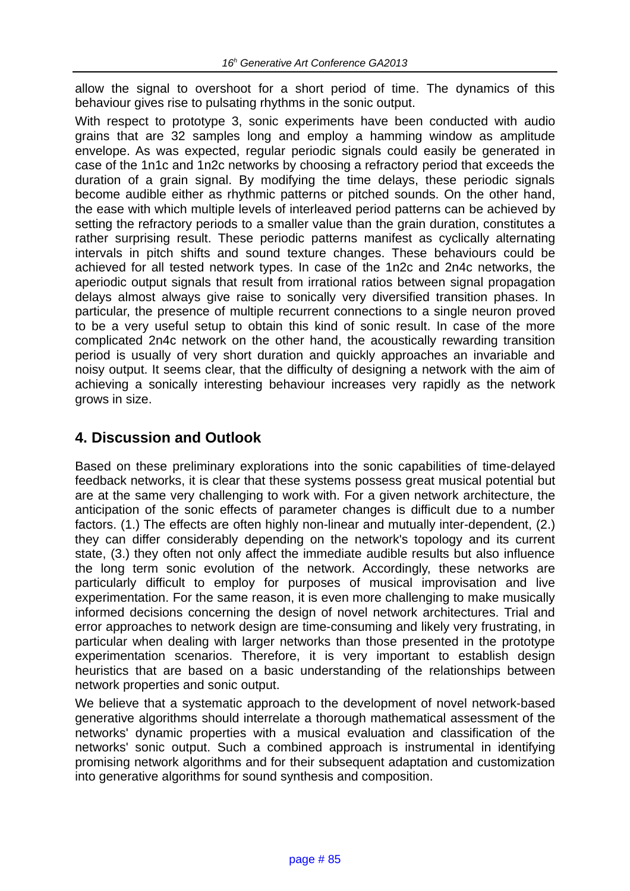allow the signal to overshoot for a short period of time. The dynamics of this behaviour gives rise to pulsating rhythms in the sonic output.

With respect to prototype 3, sonic experiments have been conducted with audio grains that are 32 samples long and employ a hamming window as amplitude envelope. As was expected, regular periodic signals could easily be generated in case of the 1n1c and 1n2c networks by choosing a refractory period that exceeds the duration of a grain signal. By modifying the time delays, these periodic signals become audible either as rhythmic patterns or pitched sounds. On the other hand, the ease with which multiple levels of interleaved period patterns can be achieved by setting the refractory periods to a smaller value than the grain duration, constitutes a rather surprising result. These periodic patterns manifest as cyclically alternating intervals in pitch shifts and sound texture changes. These behaviours could be achieved for all tested network types. In case of the 1n2c and 2n4c networks, the aperiodic output signals that result from irrational ratios between signal propagation delays almost always give raise to sonically very diversified transition phases. In particular, the presence of multiple recurrent connections to a single neuron proved to be a very useful setup to obtain this kind of sonic result. In case of the more complicated 2n4c network on the other hand, the acoustically rewarding transition period is usually of very short duration and quickly approaches an invariable and noisy output. It seems clear, that the difficulty of designing a network with the aim of achieving a sonically interesting behaviour increases very rapidly as the network grows in size.

## **4. Discussion and Outlook**

Based on these preliminary explorations into the sonic capabilities of time-delayed feedback networks, it is clear that these systems possess great musical potential but are at the same very challenging to work with. For a given network architecture, the anticipation of the sonic effects of parameter changes is difficult due to a number factors. (1.) The effects are often highly non-linear and mutually inter-dependent, (2.) they can differ considerably depending on the network's topology and its current state, (3.) they often not only affect the immediate audible results but also influence the long term sonic evolution of the network. Accordingly, these networks are particularly difficult to employ for purposes of musical improvisation and live experimentation. For the same reason, it is even more challenging to make musically informed decisions concerning the design of novel network architectures. Trial and error approaches to network design are time-consuming and likely very frustrating, in particular when dealing with larger networks than those presented in the prototype experimentation scenarios. Therefore, it is very important to establish design heuristics that are based on a basic understanding of the relationships between network properties and sonic output.

We believe that a systematic approach to the development of novel network-based generative algorithms should interrelate a thorough mathematical assessment of the networks' dynamic properties with a musical evaluation and classification of the networks' sonic output. Such a combined approach is instrumental in identifying promising network algorithms and for their subsequent adaptation and customization into generative algorithms for sound synthesis and composition.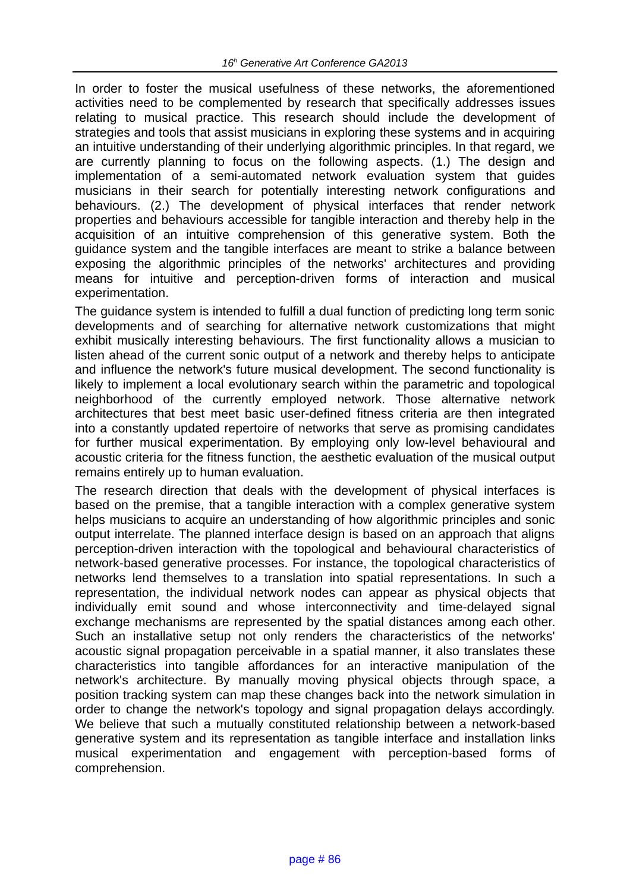In order to foster the musical usefulness of these networks, the aforementioned activities need to be complemented by research that specifically addresses issues relating to musical practice. This research should include the development of strategies and tools that assist musicians in exploring these systems and in acquiring an intuitive understanding of their underlying algorithmic principles. In that regard, we are currently planning to focus on the following aspects. (1.) The design and implementation of a semi-automated network evaluation system that guides musicians in their search for potentially interesting network configurations and behaviours. (2.) The development of physical interfaces that render network properties and behaviours accessible for tangible interaction and thereby help in the acquisition of an intuitive comprehension of this generative system. Both the guidance system and the tangible interfaces are meant to strike a balance between exposing the algorithmic principles of the networks' architectures and providing means for intuitive and perception-driven forms of interaction and musical experimentation.

The guidance system is intended to fulfill a dual function of predicting long term sonic developments and of searching for alternative network customizations that might exhibit musically interesting behaviours. The first functionality allows a musician to listen ahead of the current sonic output of a network and thereby helps to anticipate and influence the network's future musical development. The second functionality is likely to implement a local evolutionary search within the parametric and topological neighborhood of the currently employed network. Those alternative network architectures that best meet basic user-defined fitness criteria are then integrated into a constantly updated repertoire of networks that serve as promising candidates for further musical experimentation. By employing only low-level behavioural and acoustic criteria for the fitness function, the aesthetic evaluation of the musical output remains entirely up to human evaluation.

The research direction that deals with the development of physical interfaces is based on the premise, that a tangible interaction with a complex generative system helps musicians to acquire an understanding of how algorithmic principles and sonic output interrelate. The planned interface design is based on an approach that aligns perception-driven interaction with the topological and behavioural characteristics of network-based generative processes. For instance, the topological characteristics of networks lend themselves to a translation into spatial representations. In such a representation, the individual network nodes can appear as physical objects that individually emit sound and whose interconnectivity and time-delayed signal exchange mechanisms are represented by the spatial distances among each other. Such an installative setup not only renders the characteristics of the networks' acoustic signal propagation perceivable in a spatial manner, it also translates these characteristics into tangible affordances for an interactive manipulation of the network's architecture. By manually moving physical objects through space, a position tracking system can map these changes back into the network simulation in order to change the network's topology and signal propagation delays accordingly. We believe that such a mutually constituted relationship between a network-based generative system and its representation as tangible interface and installation links musical experimentation and engagement with perception-based forms of comprehension.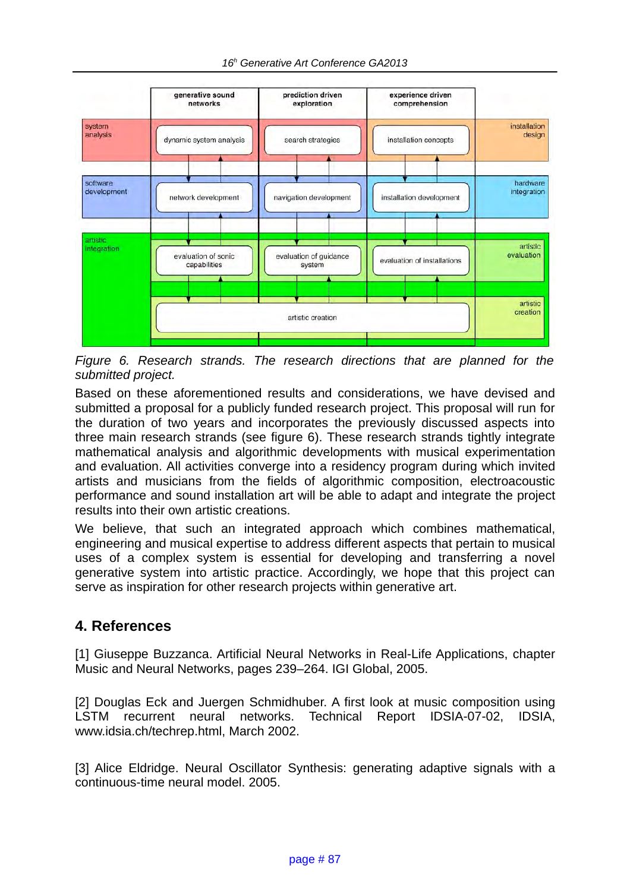

*Figure 6. Research strands. The research directions that are planned for the submitted project.* 

Based on these aforementioned results and considerations, we have devised and submitted a proposal for a publicly funded research project. This proposal will run for the duration of two years and incorporates the previously discussed aspects into three main research strands (see figure 6). These research strands tightly integrate mathematical analysis and algorithmic developments with musical experimentation and evaluation. All activities converge into a residency program during which invited artists and musicians from the fields of algorithmic composition, electroacoustic performance and sound installation art will be able to adapt and integrate the project results into their own artistic creations.

We believe, that such an integrated approach which combines mathematical, engineering and musical expertise to address different aspects that pertain to musical uses of a complex system is essential for developing and transferring a novel generative system into artistic practice. Accordingly, we hope that this project can serve as inspiration for other research projects within generative art.

# **4. References**

[1] Giuseppe Buzzanca. Artificial Neural Networks in Real-Life Applications, chapter Music and Neural Networks, pages 239–264. IGI Global, 2005.

[2] Douglas Eck and Juergen Schmidhuber. A first look at music composition using LSTM recurrent neural networks. Technical Report IDSIA-07-02, IDSIA, www.idsia.ch/techrep.html, March 2002.

[3] Alice Eldridge. Neural Oscillator Synthesis: generating adaptive signals with a continuous-time neural model. 2005.